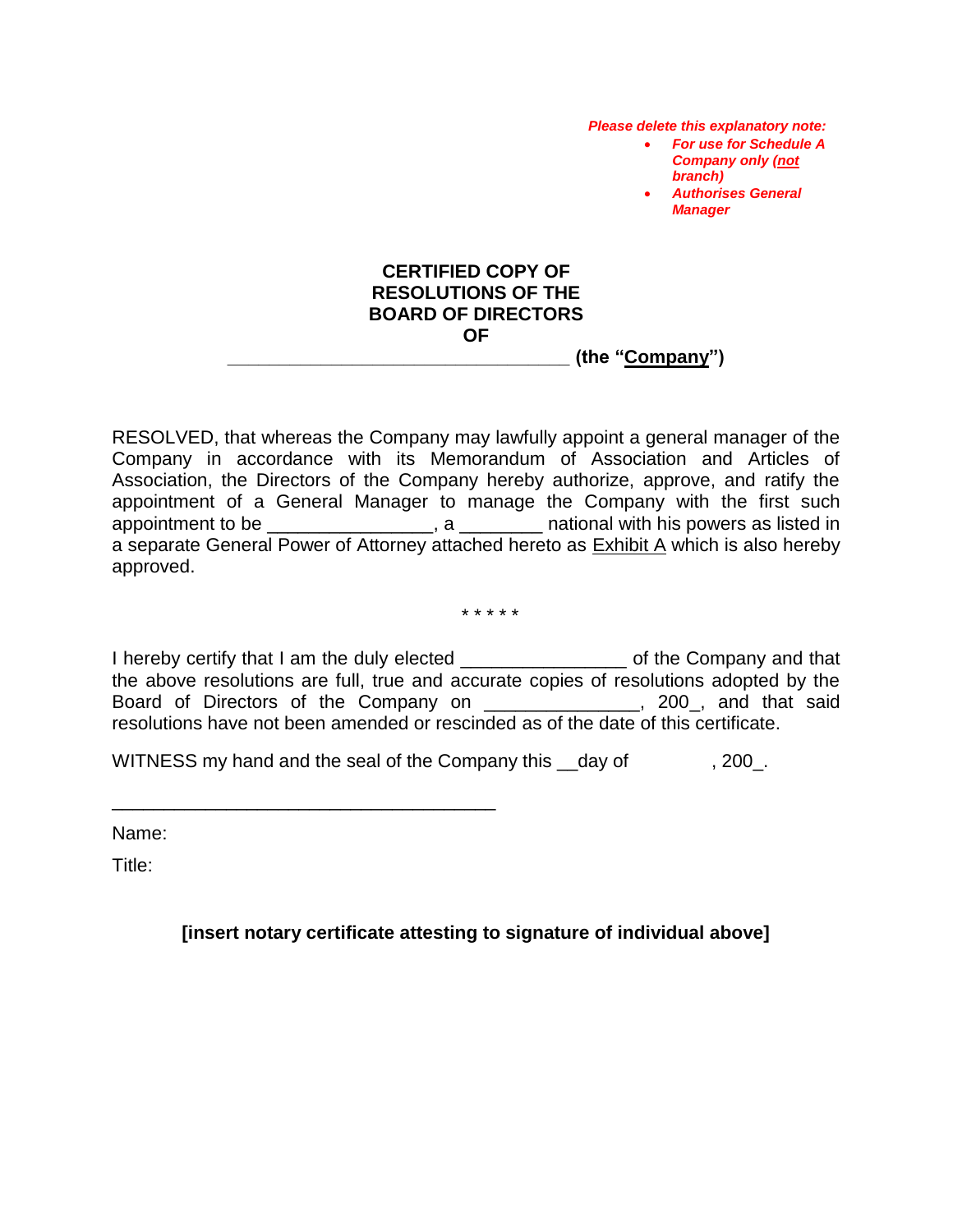*Please delete this explanatory note:* 

- *For use for Schedule A Company only (not branch)*
- *Authorises General Manager*

## **CERTIFIED COPY OF RESOLUTIONS OF THE BOARD OF DIRECTORS OF**

**\_\_\_\_\_\_\_\_\_\_\_\_\_\_\_\_\_\_\_\_\_\_\_\_\_\_\_\_\_\_\_\_\_ (the "Company")**

RESOLVED, that whereas the Company may lawfully appoint a general manager of the Company in accordance with its Memorandum of Association and Articles of Association, the Directors of the Company hereby authorize, approve, and ratify the appointment of a General Manager to manage the Company with the first such appointment to be  $\qquad \qquad$ , a  $\qquad \qquad$  national with his powers as listed in a separate General Power of Attorney attached hereto as **Exhibit A** which is also hereby approved.

\* \* \* \* \*

I hereby certify that I am the duly elected \_\_\_\_\_\_\_\_\_\_\_\_\_\_\_\_\_\_\_\_\_\_\_\_ of the Company and that the above resolutions are full, true and accurate copies of resolutions adopted by the Board of Directors of the Company on \_\_\_\_\_\_\_\_\_\_\_\_\_\_\_, 200\_, and that said resolutions have not been amended or rescinded as of the date of this certificate.

WITNESS my hand and the seal of the Company this \_\_day of , 200\_.

\_\_\_\_\_\_\_\_\_\_\_\_\_\_\_\_\_\_\_\_\_\_\_\_\_\_\_\_\_\_\_\_\_\_\_\_\_

Name:

Title:

**[insert notary certificate attesting to signature of individual above]**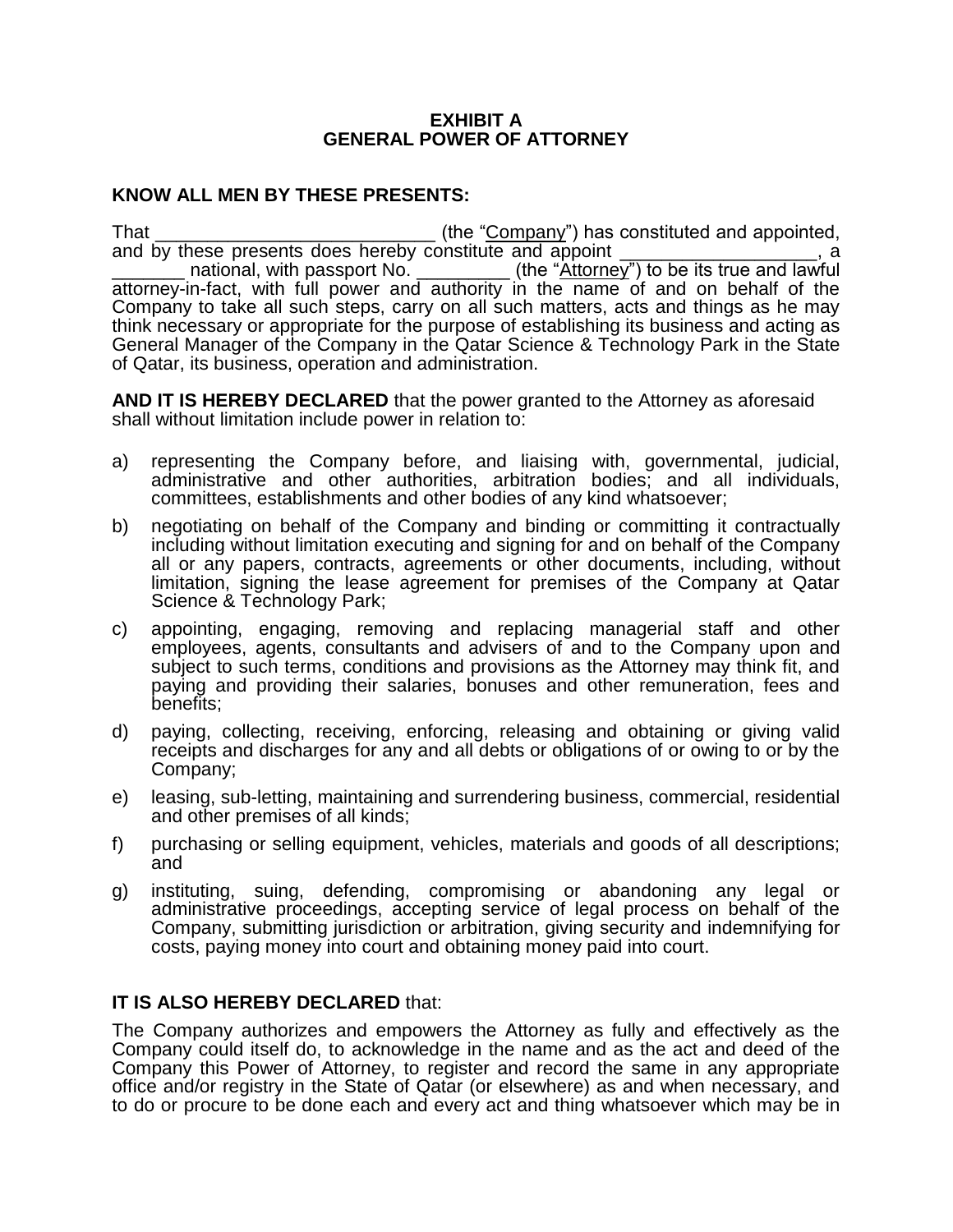## **EXHIBIT A GENERAL POWER OF ATTORNEY**

## **KNOW ALL MEN BY THESE PRESENTS:**

That **The Company**") has constituted and appointed, and by these presents does hereby constitute and appoint \_\_\_\_\_\_\_\_ national, with passport No. \_\_\_\_\_\_\_\_\_\_ (the "Attorney") to be its true and lawful attorney-in-fact, with full power and authority in the name of and on behalf of the Company to take all such steps, carry on all such matters, acts and things as he may think necessary or appropriate for the purpose of establishing its business and acting as General Manager of the Company in the Qatar Science & Technology Park in the State of Qatar, its business, operation and administration.

**AND IT IS HEREBY DECLARED** that the power granted to the Attorney as aforesaid shall without limitation include power in relation to:

- a) representing the Company before, and liaising with, governmental, judicial, administrative and other authorities, arbitration bodies; and all individuals, committees, establishments and other bodies of any kind whatsoever;
- b) negotiating on behalf of the Company and binding or committing it contractually including without limitation executing and signing for and on behalf of the Company all or any papers, contracts, agreements or other documents, including, without limitation, signing the lease agreement for premises of the Company at Qatar Science & Technology Park;
- c) appointing, engaging, removing and replacing managerial staff and other employees, agents, consultants and advisers of and to the Company upon and subject to such terms, conditions and provisions as the Attorney may think fit, and paying and providing their salaries, bonuses and other remuneration, fees and benefits;
- d) paying, collecting, receiving, enforcing, releasing and obtaining or giving valid receipts and discharges for any and all debts or obligations of or owing to or by the Company;
- e) leasing, sub-letting, maintaining and surrendering business, commercial, residential and other premises of all kinds;
- f) purchasing or selling equipment, vehicles, materials and goods of all descriptions; and
- g) instituting, suing, defending, compromising or abandoning any legal or administrative proceedings, accepting service of legal process on behalf of the Company, submitting jurisdiction or arbitration, giving security and indemnifying for costs, paying money into court and obtaining money paid into court.

## **IT IS ALSO HEREBY DECLARED that:**

The Company authorizes and empowers the Attorney as fully and effectively as the Company could itself do, to acknowledge in the name and as the act and deed of the Company this Power of Attorney, to register and record the same in any appropriate office and/or registry in the State of Qatar (or elsewhere) as and when necessary, and to do or procure to be done each and every act and thing whatsoever which may be in